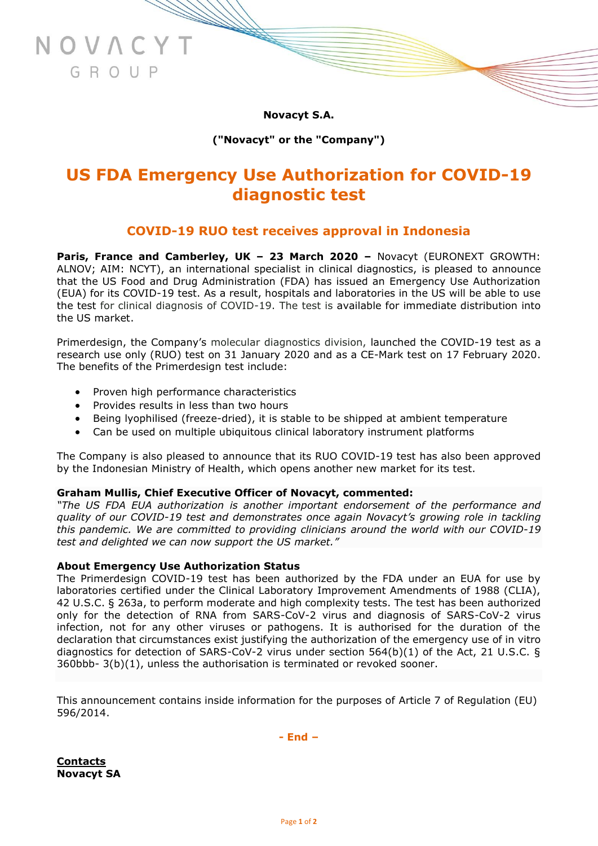**Novacyt S.A.**

# **("Novacyt" or the "Company")**

# **US FDA Emergency Use Authorization for COVID-19 diagnostic test**

# **COVID-19 RUO test receives approval in Indonesia**

**Paris, France and Camberley, UK – 23 March 2020 –** Novacyt (EURONEXT GROWTH: ALNOV; AIM: NCYT), an international specialist in clinical diagnostics, is pleased to announce that the US Food and Drug Administration (FDA) has issued an Emergency Use Authorization (EUA) for its COVID-19 test. As a result, hospitals and laboratories in the US will be able to use the test for clinical diagnosis of COVID-19. The test is available for immediate distribution into the US market.

Primerdesign, the Company's molecular diagnostics division, launched the COVID-19 test as a research use only (RUO) test on 31 January 2020 and as a CE-Mark test on 17 February 2020. The benefits of the Primerdesign test include:

- Proven high performance characteristics
- Provides results in less than two hours

NOVACYT

GROUP

- Being lyophilised (freeze-dried), it is stable to be shipped at ambient temperature
- Can be used on multiple ubiquitous clinical laboratory instrument platforms

The Company is also pleased to announce that its RUO COVID-19 test has also been approved by the Indonesian Ministry of Health, which opens another new market for its test.

# **Graham Mullis, Chief Executive Officer of Novacyt, commented:**

*"The US FDA EUA authorization is another important endorsement of the performance and quality of our COVID-19 test and demonstrates once again Novacyt's growing role in tackling this pandemic. We are committed to providing clinicians around the world with our COVID-19 test and delighted we can now support the US market."*

# **About Emergency Use Authorization Status**

The Primerdesign COVID-19 test has been authorized by the FDA under an EUA for use by laboratories certified under the Clinical Laboratory Improvement Amendments of 1988 (CLIA), 42 U.S.C. § 263a, to perform moderate and high complexity tests. The test has been authorized only for the detection of RNA from SARS-CoV-2 virus and diagnosis of SARS-CoV-2 virus infection, not for any other viruses or pathogens. It is authorised for the duration of the declaration that circumstances exist justifying the authorization of the emergency use of in vitro diagnostics for detection of SARS-CoV-2 virus under section 564(b)(1) of the Act, 21 U.S.C. § 360bbb- 3(b)(1), unless the authorisation is terminated or revoked sooner.

This announcement contains inside information for the purposes of Article 7 of Regulation (EU) 596/2014.

**- End –**

**Contacts Novacyt SA**